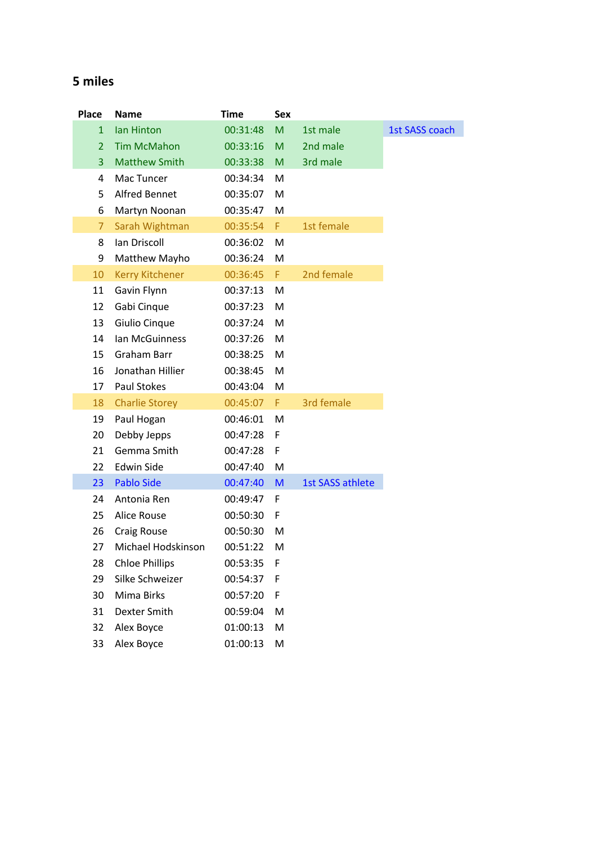## **5 miles**

| Place          | <b>Name</b>            | <b>Time</b> | <b>Sex</b> |                  |                       |
|----------------|------------------------|-------------|------------|------------------|-----------------------|
| $\mathbf{1}$   | Ian Hinton             | 00:31:48    | M          | 1st male         | <b>1st SASS coach</b> |
| $\overline{2}$ | <b>Tim McMahon</b>     | 00:33:16    | M          | 2nd male         |                       |
| $\overline{3}$ | <b>Matthew Smith</b>   | 00:33:38    | M          | 3rd male         |                       |
| 4              | Mac Tuncer             | 00:34:34    | M          |                  |                       |
| 5              | <b>Alfred Bennet</b>   | 00:35:07    | M          |                  |                       |
| 6              | Martyn Noonan          | 00:35:47    | M          |                  |                       |
| $\overline{7}$ | Sarah Wightman         | 00:35:54    | F.         | 1st female       |                       |
| 8              | Ian Driscoll           | 00:36:02    | M          |                  |                       |
| 9              | Matthew Mayho          | 00:36:24    | M          |                  |                       |
| 10             | <b>Kerry Kitchener</b> | 00:36:45    | F.         | 2nd female       |                       |
| 11             | Gavin Flynn            | 00:37:13    | M          |                  |                       |
| 12             | Gabi Cinque            | 00:37:23    | M          |                  |                       |
| 13             | Giulio Cinque          | 00:37:24    | M          |                  |                       |
| 14             | Ian McGuinness         | 00:37:26    | M          |                  |                       |
| 15             | Graham Barr            | 00:38:25    | M          |                  |                       |
| 16             | Jonathan Hillier       | 00:38:45    | M          |                  |                       |
| 17             | <b>Paul Stokes</b>     | 00:43:04    | M          |                  |                       |
| 18             | <b>Charlie Storey</b>  | 00:45:07    | F.         | 3rd female       |                       |
| 19             | Paul Hogan             | 00:46:01    | M          |                  |                       |
| 20             | Debby Jepps            | 00:47:28    | F          |                  |                       |
| 21             | Gemma Smith            | 00:47:28    | F          |                  |                       |
| 22             | <b>Edwin Side</b>      | 00:47:40    | M          |                  |                       |
| 23             | <b>Pablo Side</b>      | 00:47:40    | M          | 1st SASS athlete |                       |
| 24             | Antonia Ren            | 00:49:47    | F          |                  |                       |
| 25             | <b>Alice Rouse</b>     | 00:50:30    | F          |                  |                       |
| 26             | <b>Craig Rouse</b>     | 00:50:30    | M          |                  |                       |
| 27             | Michael Hodskinson     | 00:51:22    | M          |                  |                       |
| 28             | <b>Chloe Phillips</b>  | 00:53:35    | F          |                  |                       |
| 29             | Silke Schweizer        | 00:54:37    | F          |                  |                       |
| 30             | Mima Birks             | 00:57:20    | F          |                  |                       |
| 31             | Dexter Smith           | 00:59:04    | M          |                  |                       |
| 32             | Alex Boyce             | 01:00:13    | M          |                  |                       |
| 33             | Alex Boyce             | 01:00:13    | M          |                  |                       |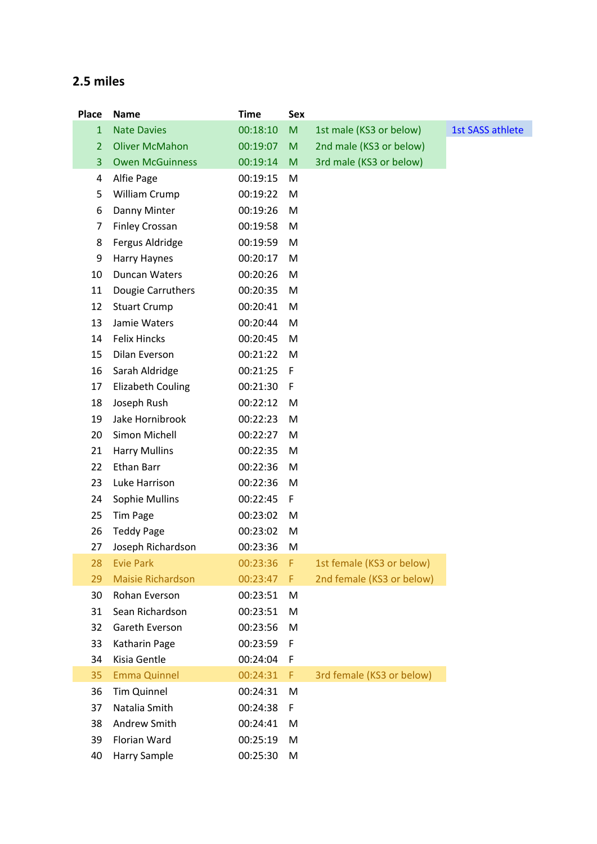## **2.5 miles**

| <b>Place</b>   | <b>Name</b>              | <b>Time</b> | <b>Sex</b> |                           |                  |
|----------------|--------------------------|-------------|------------|---------------------------|------------------|
| $\mathbf{1}$   | <b>Nate Davies</b>       | 00:18:10    | M          | 1st male (KS3 or below)   | 1st SASS athlete |
| $\overline{2}$ | <b>Oliver McMahon</b>    | 00:19:07    | M          | 2nd male (KS3 or below)   |                  |
| 3              | <b>Owen McGuinness</b>   | 00:19:14    | M          | 3rd male (KS3 or below)   |                  |
| 4              | Alfie Page               | 00:19:15    | M          |                           |                  |
| 5              | William Crump            | 00:19:22    | M          |                           |                  |
| 6              | Danny Minter             | 00:19:26    | M          |                           |                  |
| 7              | <b>Finley Crossan</b>    | 00:19:58    | M          |                           |                  |
| 8              | Fergus Aldridge          | 00:19:59    | M          |                           |                  |
| 9              | Harry Haynes             | 00:20:17    | M          |                           |                  |
| 10             | Duncan Waters            | 00:20:26    | M          |                           |                  |
| 11             | Dougie Carruthers        | 00:20:35    | M          |                           |                  |
| 12             | <b>Stuart Crump</b>      | 00:20:41    | M          |                           |                  |
| 13             | Jamie Waters             | 00:20:44    | M          |                           |                  |
| 14             | <b>Felix Hincks</b>      | 00:20:45    | M          |                           |                  |
| 15             | Dilan Everson            | 00:21:22    | M          |                           |                  |
| 16             | Sarah Aldridge           | 00:21:25    | F          |                           |                  |
| 17             | <b>Elizabeth Couling</b> | 00:21:30    | F          |                           |                  |
| 18             | Joseph Rush              | 00:22:12    | M          |                           |                  |
| 19             | Jake Hornibrook          | 00:22:23    | M          |                           |                  |
| 20             | Simon Michell            | 00:22:27    | M          |                           |                  |
| 21             | <b>Harry Mullins</b>     | 00:22:35    | M          |                           |                  |
| 22             | <b>Ethan Barr</b>        | 00:22:36    | M          |                           |                  |
| 23             | Luke Harrison            | 00:22:36    | M          |                           |                  |
| 24             | Sophie Mullins           | 00:22:45    | F          |                           |                  |
| 25             | <b>Tim Page</b>          | 00:23:02    | M          |                           |                  |
| 26             | <b>Teddy Page</b>        | 00:23:02    | M          |                           |                  |
| 27             | Joseph Richardson        | 00:23:36    | M          |                           |                  |
| 28             | <b>Evie Park</b>         | 00:23:36    | F          | 1st female (KS3 or below) |                  |
| 29             | <b>Maisie Richardson</b> | 00:23:47    | F.         | 2nd female (KS3 or below) |                  |
| 30             | Rohan Everson            | 00:23:51    | M          |                           |                  |
| 31             | Sean Richardson          | 00:23:51    | M          |                           |                  |
| 32             | Gareth Everson           | 00:23:56    | M          |                           |                  |
| 33             | Katharin Page            | 00:23:59    | F          |                           |                  |
| 34             | Kisia Gentle             | 00:24:04    | F          |                           |                  |
| 35             | <b>Emma Quinnel</b>      | 00:24:31    | F          | 3rd female (KS3 or below) |                  |
| 36             | <b>Tim Quinnel</b>       | 00:24:31    | M          |                           |                  |
| 37             | Natalia Smith            | 00:24:38    | F          |                           |                  |
| 38             | Andrew Smith             | 00:24:41    | M          |                           |                  |
| 39             | Florian Ward             | 00:25:19    | M          |                           |                  |
| 40             | Harry Sample             | 00:25:30    | M          |                           |                  |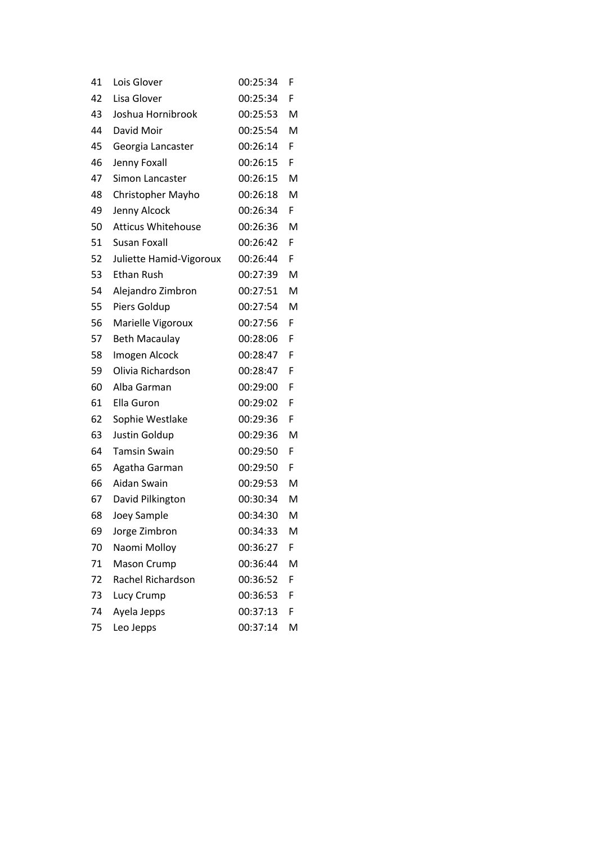| 41 | Lois Glover               | 00:25:34 | F  |
|----|---------------------------|----------|----|
| 42 | Lisa Glover               | 00:25:34 | F  |
| 43 | Joshua Hornibrook         | 00:25:53 | M  |
| 44 | David Moir                | 00:25:54 | M  |
| 45 | Georgia Lancaster         | 00:26:14 | F  |
| 46 | Jenny Foxall              | 00:26:15 | F  |
| 47 | Simon Lancaster           | 00:26:15 | M  |
| 48 | Christopher Mayho         | 00:26:18 | M  |
| 49 | Jenny Alcock              | 00:26:34 | F. |
| 50 | <b>Atticus Whitehouse</b> | 00:26:36 | M  |
| 51 | Susan Foxall              | 00:26:42 | F  |
| 52 | Juliette Hamid-Vigoroux   | 00:26:44 | F  |
| 53 | Ethan Rush                | 00:27:39 | M  |
| 54 | Alejandro Zimbron         | 00:27:51 | M  |
| 55 | Piers Goldup              | 00:27:54 | M  |
| 56 | Marielle Vigoroux         | 00:27:56 | F  |
| 57 | <b>Beth Macaulay</b>      | 00:28:06 | F  |
| 58 | Imogen Alcock             | 00:28:47 | F  |
| 59 | Olivia Richardson         | 00:28:47 | F  |
| 60 | Alba Garman               | 00:29:00 | F  |
| 61 | Ella Guron                | 00:29:02 | F  |
| 62 | Sophie Westlake           | 00:29:36 | F  |
| 63 | Justin Goldup             | 00:29:36 | M  |
| 64 | <b>Tamsin Swain</b>       | 00:29:50 | F  |
| 65 | Agatha Garman             | 00:29:50 | F  |
| 66 | Aidan Swain               | 00:29:53 | M  |
| 67 | David Pilkington          | 00:30:34 | M  |
| 68 | Joey Sample               | 00:34:30 | M  |
| 69 | Jorge Zimbron             | 00:34:33 | M  |
| 70 | Naomi Molloy              | 00:36:27 | F  |
| 71 | Mason Crump               | 00:36:44 | M  |
| 72 | Rachel Richardson         | 00:36:52 | F  |
| 73 | Lucy Crump                | 00:36:53 | F  |
| 74 | Ayela Jepps               | 00:37:13 | F  |
| 75 | Leo Jepps                 | 00:37:14 | M  |
|    |                           |          |    |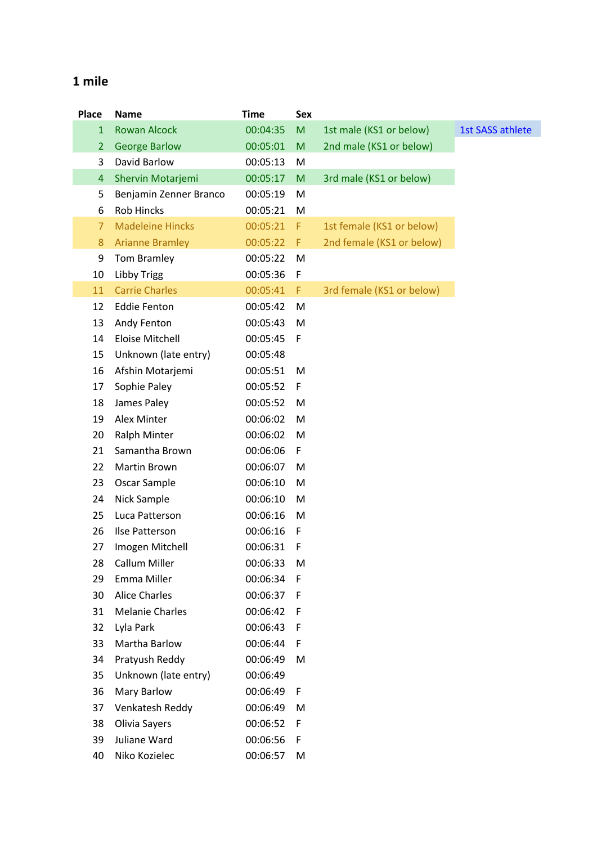## **1 mile**

| <b>Place</b>   | <b>Name</b>             | <b>Time</b> | <b>Sex</b> |                           |                         |
|----------------|-------------------------|-------------|------------|---------------------------|-------------------------|
| $\mathbf{1}$   | <b>Rowan Alcock</b>     | 00:04:35    | M          | 1st male (KS1 or below)   | <b>1st SASS athlete</b> |
| $\overline{2}$ | <b>George Barlow</b>    | 00:05:01    | M          | 2nd male (KS1 or below)   |                         |
| 3              | David Barlow            | 00:05:13    | M          |                           |                         |
| 4              | Shervin Motarjemi       | 00:05:17    | M          | 3rd male (KS1 or below)   |                         |
| 5              | Benjamin Zenner Branco  | 00:05:19    | M          |                           |                         |
| 6              | <b>Rob Hincks</b>       | 00:05:21    | M          |                           |                         |
| $\overline{7}$ | <b>Madeleine Hincks</b> | 00:05:21    | F          | 1st female (KS1 or below) |                         |
| 8              | <b>Arianne Bramley</b>  | 00:05:22    | F          | 2nd female (KS1 or below) |                         |
| 9              | Tom Bramley             | 00:05:22    | M          |                           |                         |
| 10             | <b>Libby Trigg</b>      | 00:05:36    | F          |                           |                         |
| 11             | <b>Carrie Charles</b>   | 00:05:41    | F          | 3rd female (KS1 or below) |                         |
| 12             | <b>Eddie Fenton</b>     | 00:05:42    | M          |                           |                         |
| 13             | Andy Fenton             | 00:05:43    | M          |                           |                         |
| 14             | <b>Eloise Mitchell</b>  | 00:05:45    | F          |                           |                         |
| 15             | Unknown (late entry)    | 00:05:48    |            |                           |                         |
| 16             | Afshin Motarjemi        | 00:05:51    | M          |                           |                         |
| 17             | Sophie Paley            | 00:05:52    | F          |                           |                         |
| 18             | James Paley             | 00:05:52    | M          |                           |                         |
| 19             | Alex Minter             | 00:06:02    | M          |                           |                         |
| 20             | <b>Ralph Minter</b>     | 00:06:02    | M          |                           |                         |
| 21             | Samantha Brown          | 00:06:06    | F          |                           |                         |
| 22             | Martin Brown            | 00:06:07    | M          |                           |                         |
| 23             | Oscar Sample            | 00:06:10    | M          |                           |                         |
| 24             | Nick Sample             | 00:06:10    | M          |                           |                         |
| 25             | Luca Patterson          | 00:06:16    | M          |                           |                         |
| 26             | Ilse Patterson          | 00:06:16    | F          |                           |                         |
| 27             | Imogen Mitchell         | 00:06:31    | -F         |                           |                         |
| 28             | Callum Miller           | 00:06:33    | M          |                           |                         |
| 29             | Emma Miller             | 00:06:34    | F          |                           |                         |
| 30             | <b>Alice Charles</b>    | 00:06:37    | F          |                           |                         |
| 31             | <b>Melanie Charles</b>  | 00:06:42    | F          |                           |                         |
| 32             | Lyla Park               | 00:06:43    | F          |                           |                         |
| 33             | Martha Barlow           | 00:06:44    | F          |                           |                         |
| 34             | Pratyush Reddy          | 00:06:49    | M          |                           |                         |
| 35             | Unknown (late entry)    | 00:06:49    |            |                           |                         |
| 36             | <b>Mary Barlow</b>      | 00:06:49    | F          |                           |                         |
| 37             | Venkatesh Reddy         | 00:06:49    | M          |                           |                         |
| 38             | Olivia Sayers           | 00:06:52    | F          |                           |                         |
| 39             | Juliane Ward            | 00:06:56    | F          |                           |                         |
| 40             | Niko Kozielec           | 00:06:57    | M          |                           |                         |